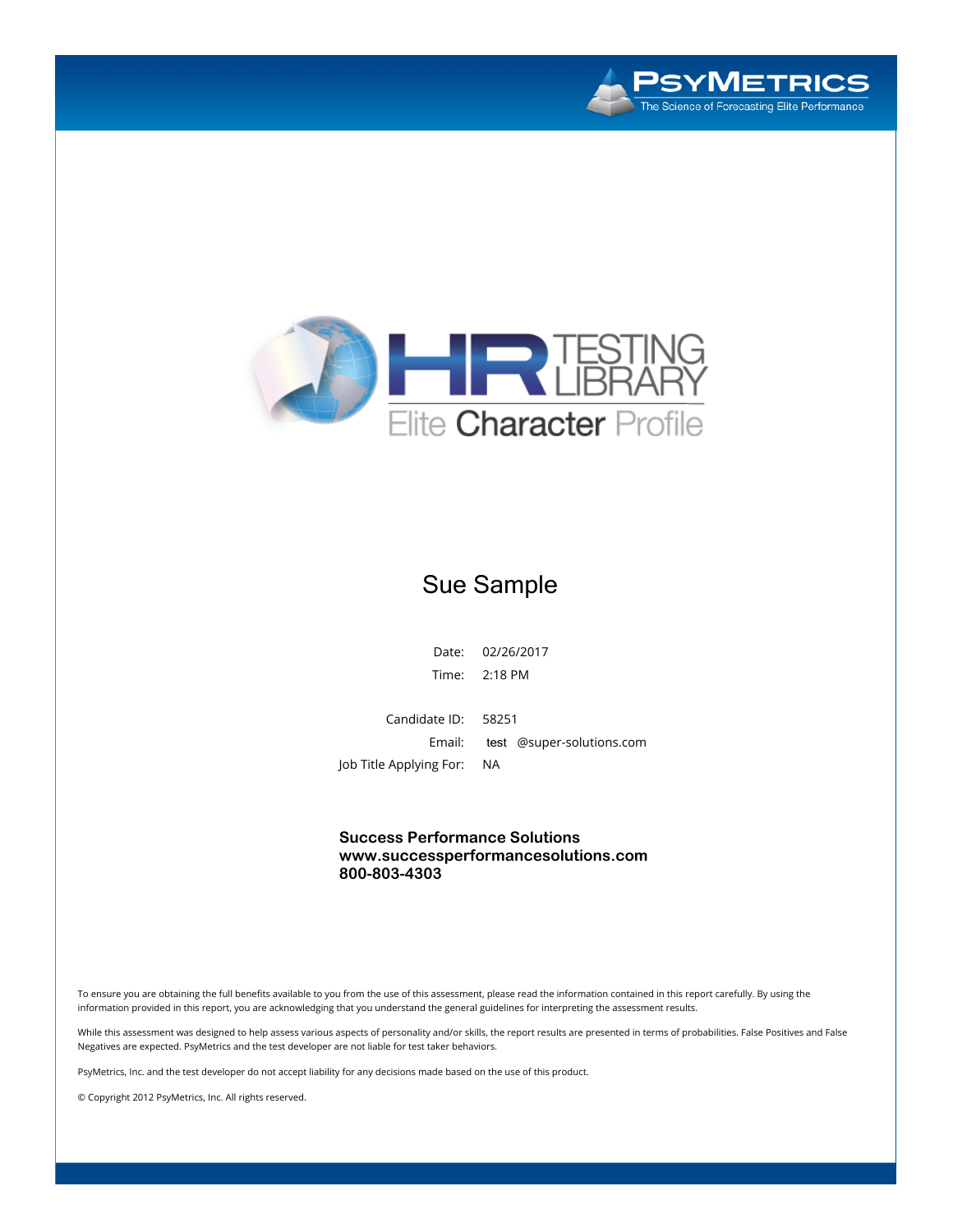



### Sue Sample

**Date: 02/26/2017 Time: 2:18 PM**

**Candidate ID: 58251 Email:** test **@super-solutions.com Job Title Applying For: NA**

**Success Performance Solutions www.successperformancesolutions.com 800-803-4303**

To ensure you are obtaining the full benefits available to you from the use of this assessment, please read the information contained in this report carefully. By using the information provided in this report, you are acknowledging that you understand the general guidelines for interpreting the assessment results.

While this assessment was designed to help assess various aspects of personality and/or skills, the report results are presented in terms of probabilities. False Positives and False **Negatives are expected. PsyMetrics and the test developer are not liable for test taker behaviors.**

PsyMetrics, Inc. and the test developer do not accept liability for any decisions made based on the use of this product.

**© Copyright 2012 PsyMetrics, Inc. All rights reserved.**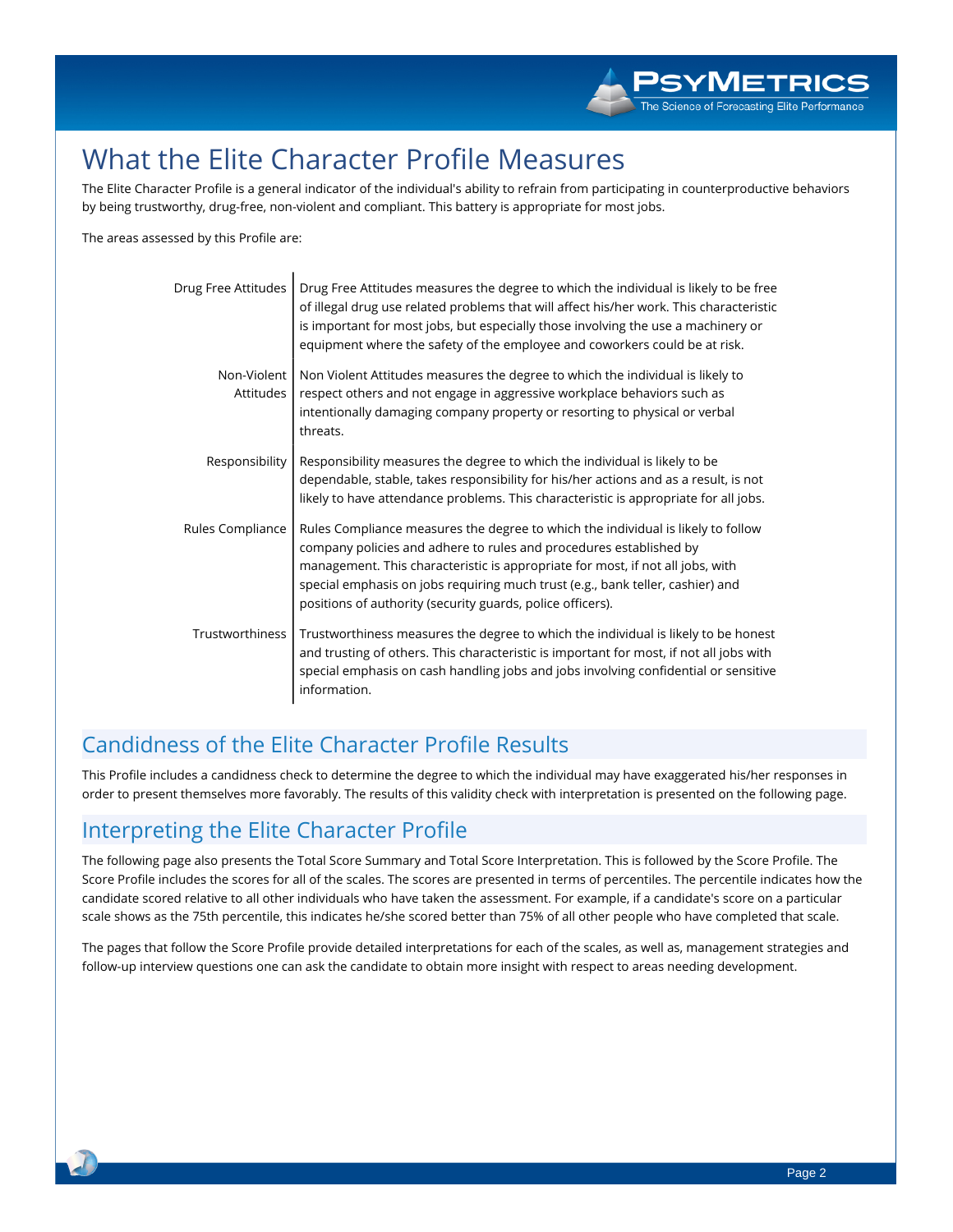# **What the Elite Character Profile Measures**

The Elite Character Profile is a general indicator of the individual's ability to refrain from participating in counterproductive behaviors **by being trustworthy, drug-free, non-violent and compliant. This battery is appropriate for most jobs.**

**The areas assessed by this Profile are:**

| Drug Free Attitudes      | Drug Free Attitudes measures the degree to which the individual is likely to be free<br>of illegal drug use related problems that will affect his/her work. This characteristic<br>is important for most jobs, but especially those involving the use a machinery or<br>equipment where the safety of the employee and coworkers could be at risk.                                       |
|--------------------------|------------------------------------------------------------------------------------------------------------------------------------------------------------------------------------------------------------------------------------------------------------------------------------------------------------------------------------------------------------------------------------------|
| Non-Violent<br>Attitudes | Non Violent Attitudes measures the degree to which the individual is likely to<br>respect others and not engage in aggressive workplace behaviors such as<br>intentionally damaging company property or resorting to physical or verbal<br>threats.                                                                                                                                      |
| Responsibility           | Responsibility measures the degree to which the individual is likely to be<br>dependable, stable, takes responsibility for his/her actions and as a result, is not<br>likely to have attendance problems. This characteristic is appropriate for all jobs.                                                                                                                               |
| Rules Compliance         | Rules Compliance measures the degree to which the individual is likely to follow<br>company policies and adhere to rules and procedures established by<br>management. This characteristic is appropriate for most, if not all jobs, with<br>special emphasis on jobs requiring much trust (e.g., bank teller, cashier) and<br>positions of authority (security guards, police officers). |
| Trustworthiness          | Trustworthiness measures the degree to which the individual is likely to be honest<br>and trusting of others. This characteristic is important for most, if not all jobs with<br>special emphasis on cash handling jobs and jobs involving confidential or sensitive<br>information.                                                                                                     |

### **Candidness of the Elite Character Profile Results**

This Profile includes a candidness check to determine the degree to which the individual may have exaggerated his/her responses in order to present themselves more favorably. The results of this validity check with interpretation is presented on the following page.

#### **Interpreting the Elite Character Profile**

The following page also presents the Total Score Summary and Total Score Interpretation. This is followed by the Score Profile. The Score Profile includes the scores for all of the scales. The scores are presented in terms of percentiles. The percentile indicates how the candidate scored relative to all other individuals who have taken the assessment. For example, if a candidate's score on a particular scale shows as the 75th percentile, this indicates he/she scored better than 75% of all other people who have completed that scale.

The pages that follow the Score Profile provide detailed interpretations for each of the scales, as well as, management strategies and follow-up interview questions one can ask the candidate to obtain more insight with respect to areas needing development.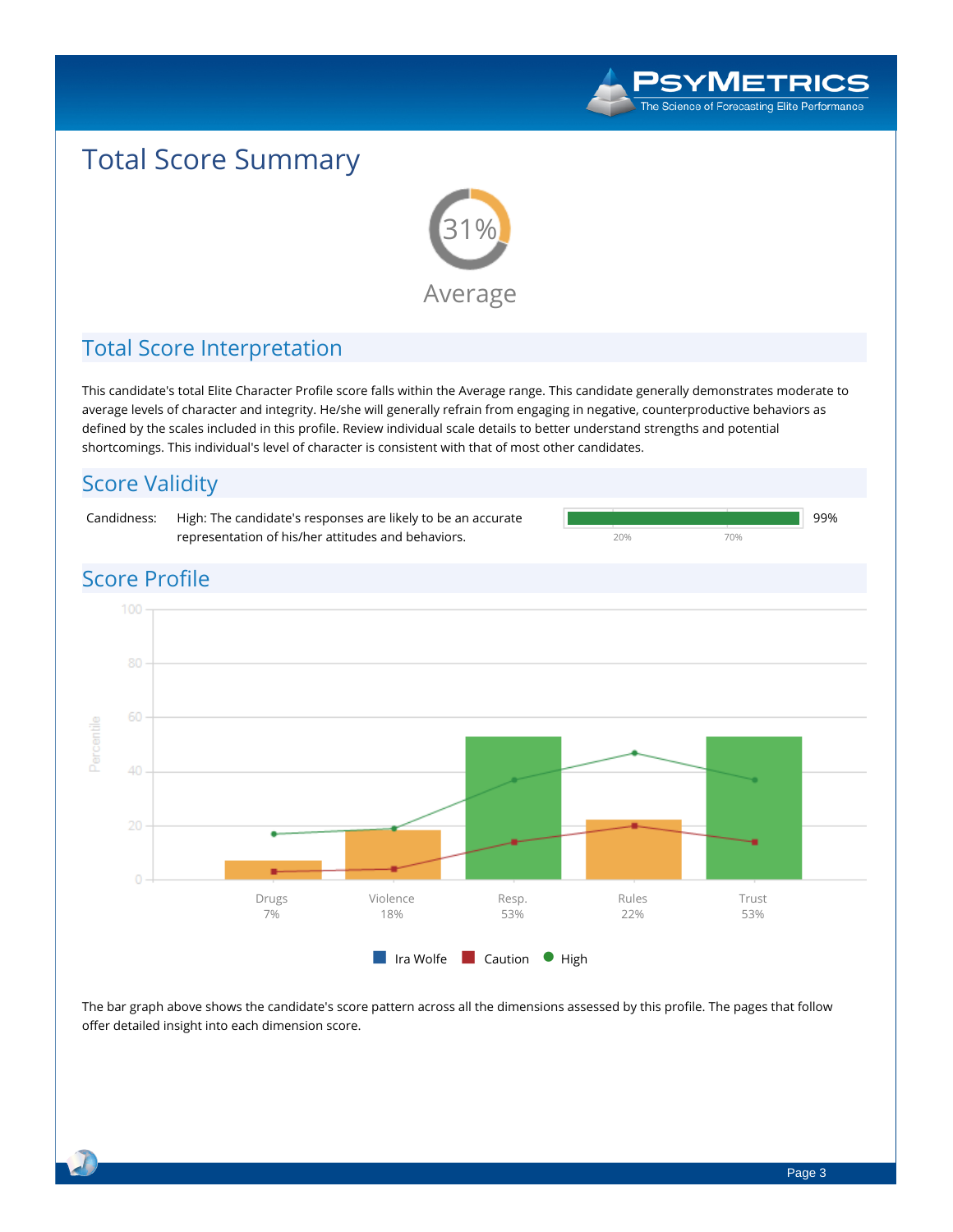

# **Total Score Summary**



### **Total Score Interpretation**

This candidate's total Elite Character Profile score falls within the Average range. This candidate generally demonstrates moderate to average levels of character and integrity. He/she will generally refrain from engaging in negative, counterproductive behaviors as defined by the scales included in this profile. Review individual scale details to better understand strengths and potential **shortcomings. This individual's level of character is consistent with that of most other candidates.**



The bar graph above shows the candidate's score pattern across all the dimensions assessed by this profile. The pages that follow **offer detailed insight into each dimension score.**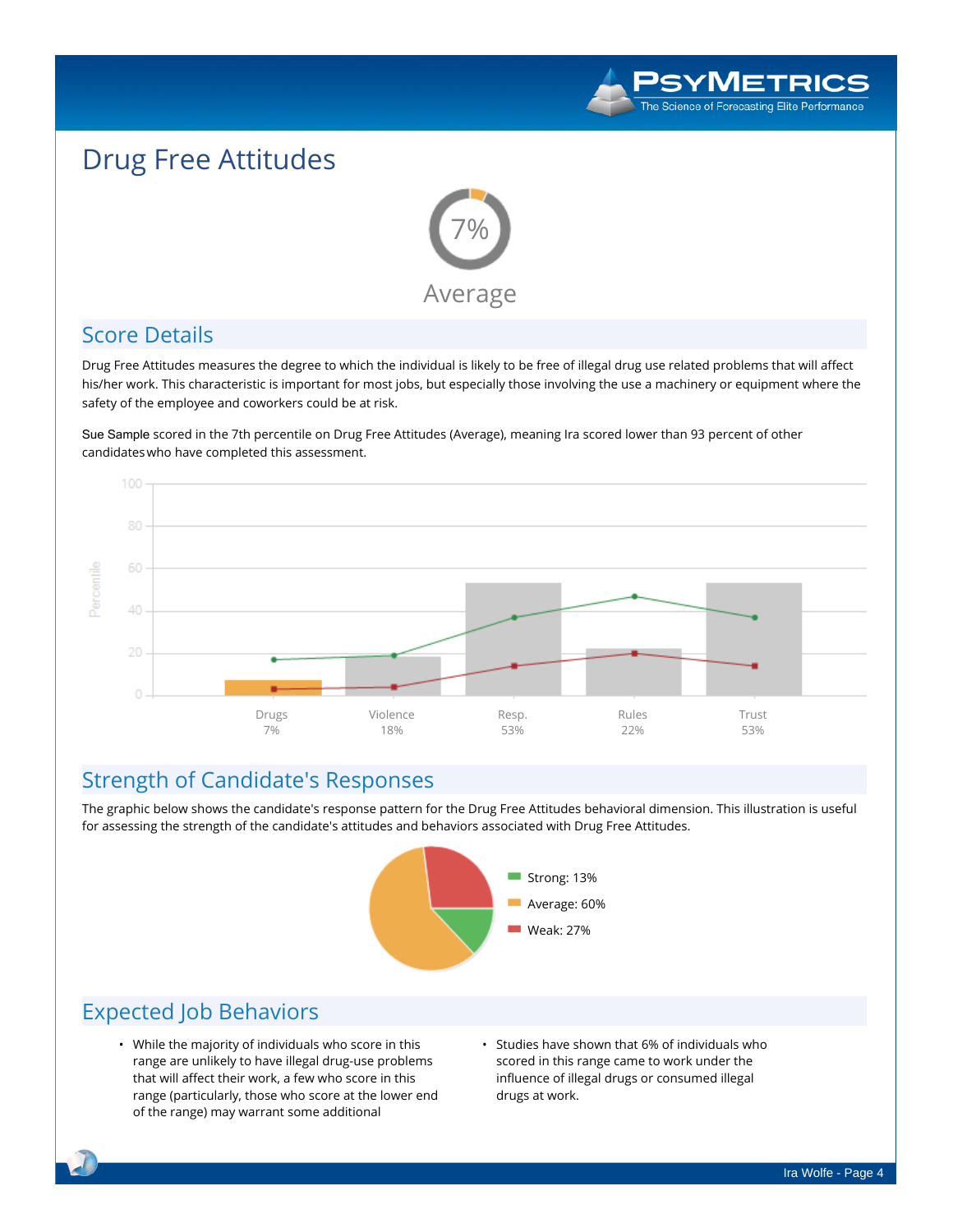

# **Drug Free Attitudes**



#### **Score Details**

Drug Free Attitudes measures the degree to which the individual is likely to be free of illegal drug use related problems that will affect his/her work. This characteristic is important for most jobs, but especially those involving the use a machinery or equipment where the **safety of the employee and coworkers could be at risk.**

Sue Sample **scored in the 7th percentile on Drug Free Attitudes (Average), meaning Ira scored lower than 93 percent of other candidateswho have completed this assessment.**



### **Strength of Candidate's Responses**

The graphic below shows the candidate's response pattern for the Drug Free Attitudes behavioral dimension. This illustration is useful **for assessing the strength of the candidate's attitudes and behaviors associated with Drug Free Attitudes.**



- **• While the majority of individuals who score in this range are unlikely to have illegal drug-use problems that will affect their work, a few who score in this range (particularly, those who score at the lower end of the range) may warrant some additional**
- **• Studies have shown that 6% of individuals who scored in this range came to work under the influence of illegal drugs or consumed illegal drugs at work.**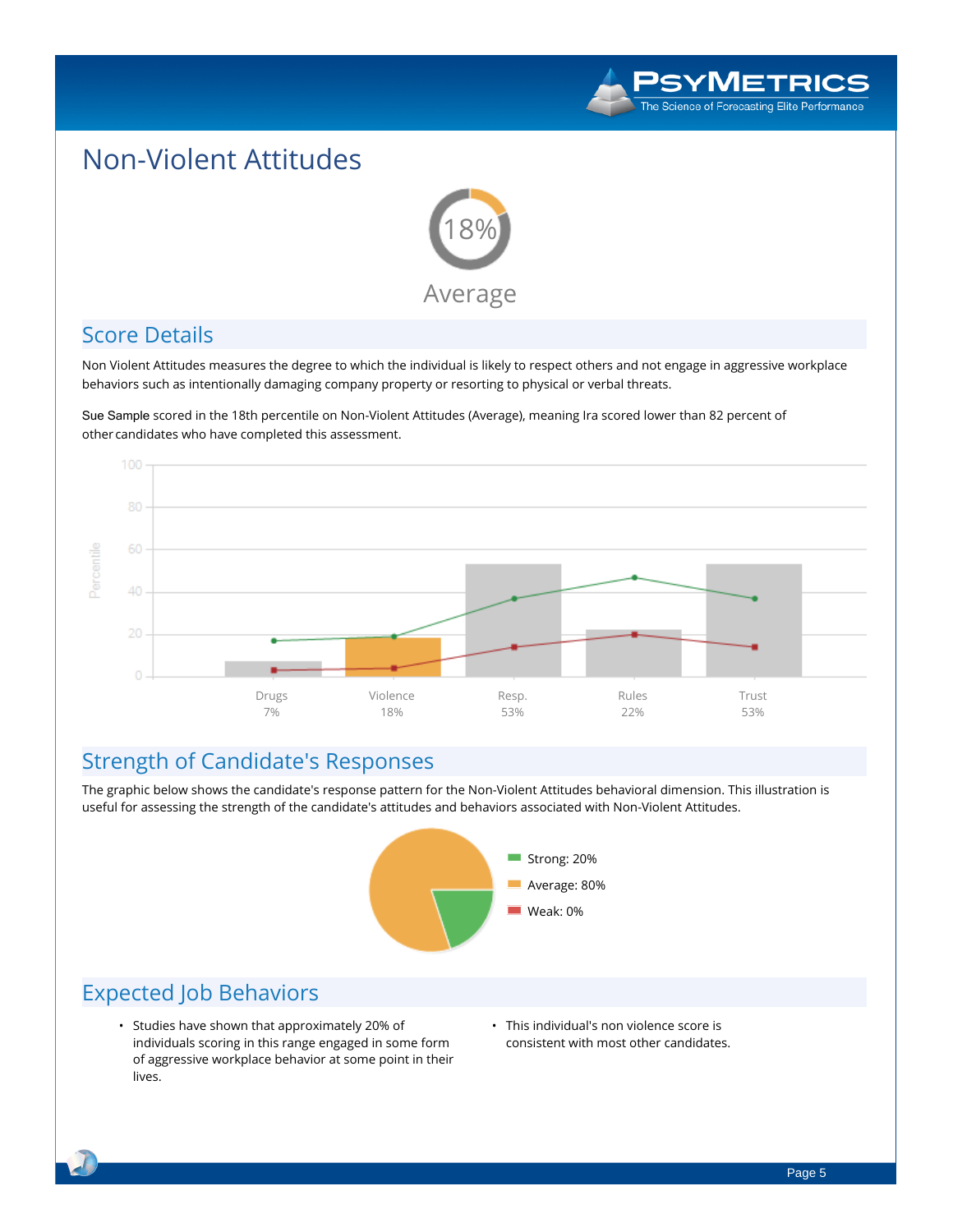

## **Non-Violent Attitudes**



#### **Score Details**

Non Violent Attitudes measures the degree to which the individual is likely to respect others and not engage in aggressive workplace **behaviors such as intentionally damaging company property or resorting to physical or verbal threats.**

Sue Sample **scored in the 18th percentile on Non-Violent Attitudes (Average), meaning Ira scored lower than 82 percent of othercandidates who have completed this assessment.**



#### **Strength of Candidate's Responses**

The graphic below shows the candidate's response pattern for the Non-Violent Attitudes behavioral dimension. This illustration is **useful for assessing the strength of the candidate's attitudes and behaviors associated with Non-Violent Attitudes.**



- **• Studies have shown that approximately 20% of individuals scoring in this range engaged in some form of aggressive workplace behavior at some point in their lives.**
- **• This individual's non violence score is consistent with most other candidates.**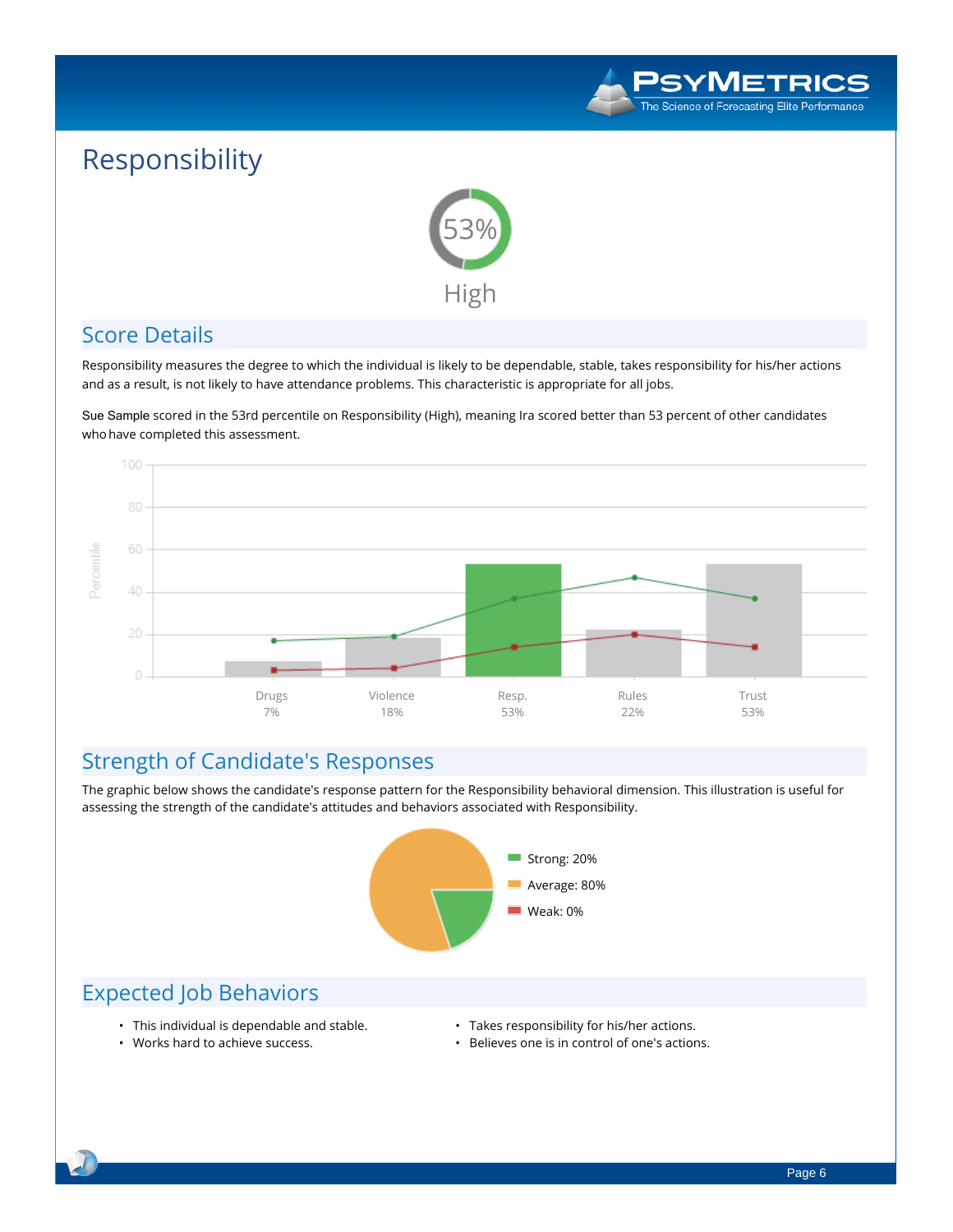

# **Responsibility**



#### **Score Details**

Responsibility measures the degree to which the individual is likely to be dependable, stable, takes responsibility for his/her actions and as a result, is not likely to have attendance problems. This characteristic is appropriate for all jobs.

Sue Sample **scored in the 53rd percentile on Responsibility (High), meaning Ira scored better than 53 percent of other candidates whohave completed this assessment.**



### **Strength of Candidate's Responses**

The graphic below shows the candidate's response pattern for the Responsibility behavioral dimension. This illustration is useful for **assessing the strength of the candidate's attitudes and behaviors associated with Responsibility.**



#### **Expected Job Behaviors**

**• Works hard to achieve success.**

- **• This individual is dependable and stable.**
- **• Takes responsibility for his/her actions.**
- **• Believes one is in control of one's actions.**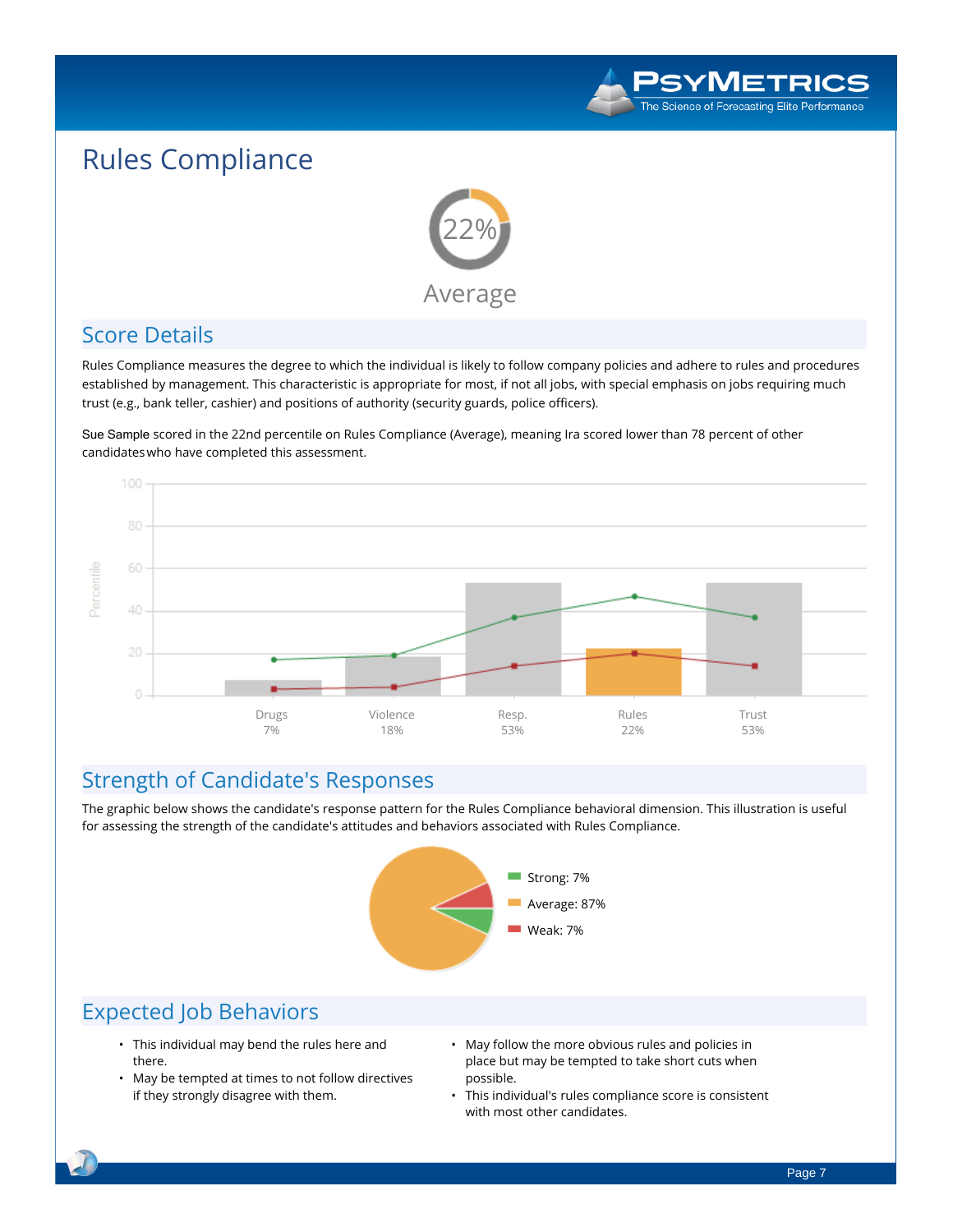

# **Rules Compliance**



#### **Score Details**

Rules Compliance measures the degree to which the individual is likely to follow company policies and adhere to rules and procedures established by management. This characteristic is appropriate for most, if not all jobs, with special emphasis on jobs requiring much **trust (e.g., bank teller, cashier) and positions of authority (security guards, police officers).**

Sue Sample **scored in the 22nd percentile on Rules Compliance (Average), meaning Ira scored lower than 78 percent of other candidateswho have completed this assessment.**



#### **Strength of Candidate's Responses**

The graphic below shows the candidate's response pattern for the Rules Compliance behavioral dimension. This illustration is useful **for assessing the strength of the candidate's attitudes and behaviors associated with Rules Compliance.**



- **• This individual may bend the rules here and there.**
- **• May be tempted at times to not follow directives if they strongly disagree with them.**
- **• May follow the more obvious rules and policies in place but may be tempted to take short cuts when possible.**
- **• This individual's rules compliance score is consistent with most other candidates.**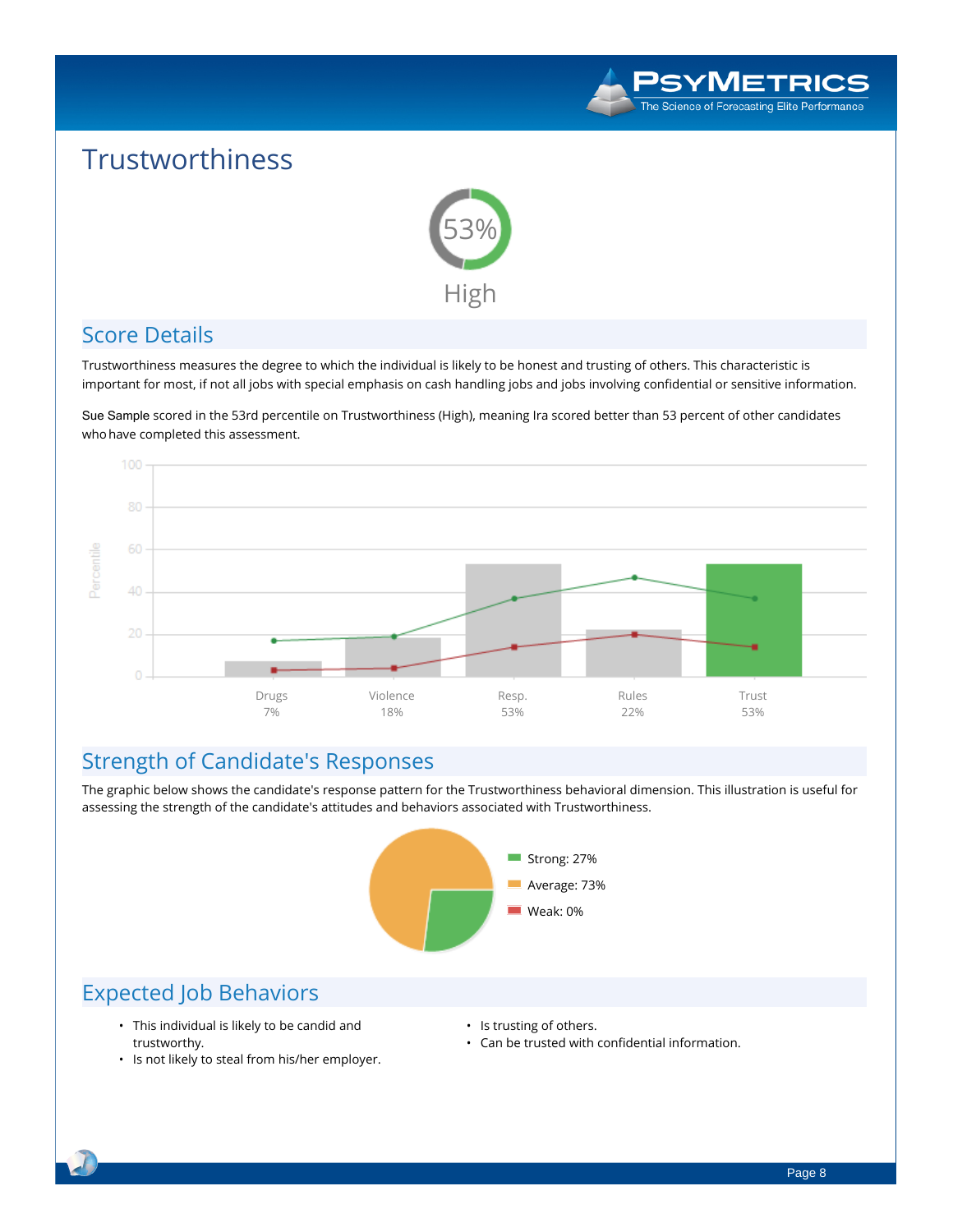

## **Trustworthiness**



#### **Score Details**

Trustworthiness measures the degree to which the individual is likely to be honest and trusting of others. This characteristic is important for most, if not all jobs with special emphasis on cash handling jobs and jobs involving confidential or sensitive information.

Sue Sample **scored in the 53rd percentile on Trustworthiness (High), meaning Ira scored better than 53 percent of other candidates whohave completed this assessment.**



#### **Strength of Candidate's Responses**

The graphic below shows the candidate's response pattern for the Trustworthiness behavioral dimension. This illustration is useful for **assessing the strength of the candidate's attitudes and behaviors associated with Trustworthiness.**



- **• This individual is likely to be candid and trustworthy.**
- **• Is not likely to steal from his/her employer.**
- **• Is trusting of others.**
- **• Can be trusted with confidential information.**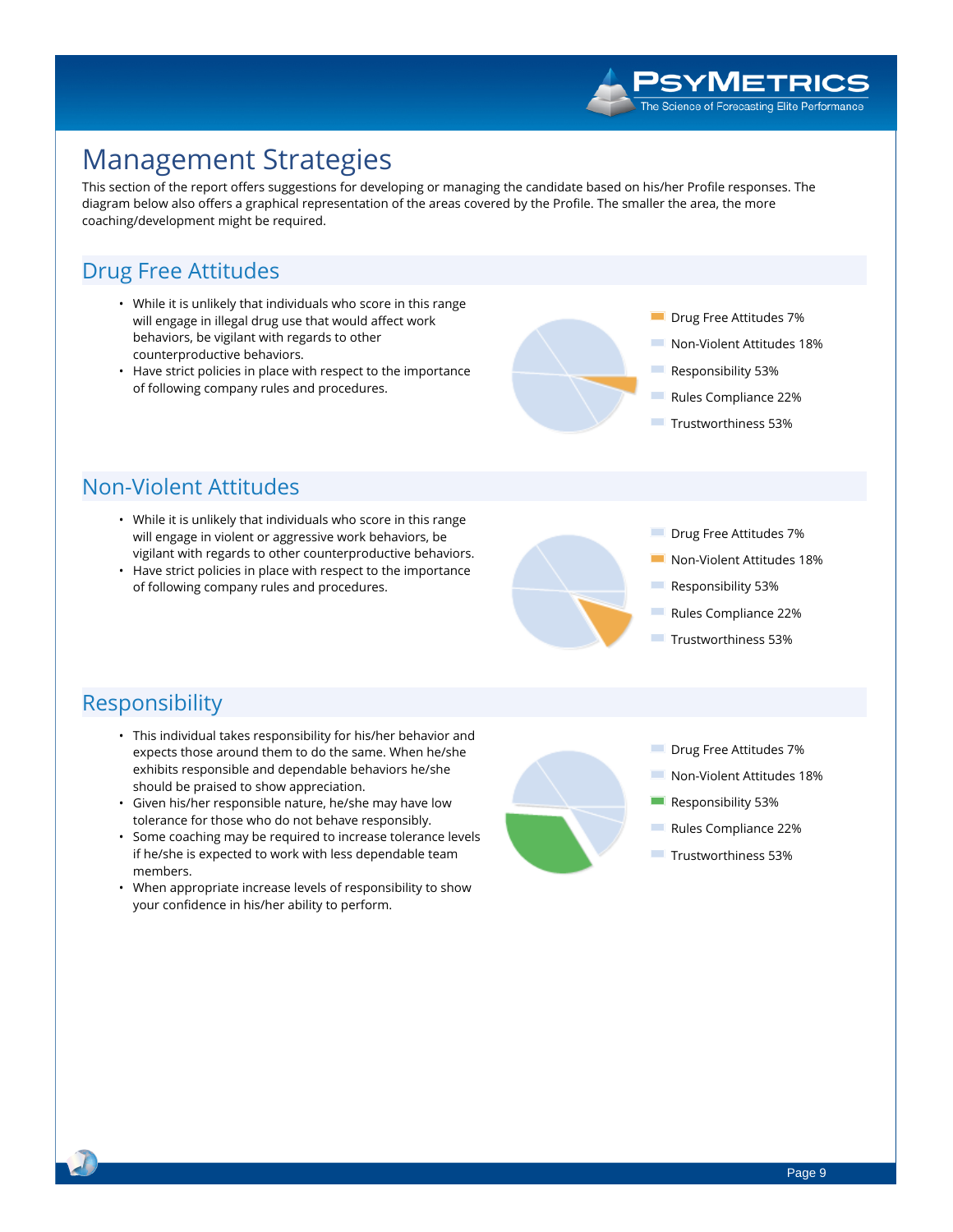

## **Management Strategies**

This section of the report offers suggestions for developing or managing the candidate based on his/her Profile responses. The diagram below also offers a graphical representation of the areas covered by the Profile. The smaller the area, the more **coaching/development might be required.**

#### **Drug Free Attitudes**

- **• While it is unlikely that individuals who score in this range will engage in illegal drug use that would affect work behaviors, be vigilant with regards to other counterproductive behaviors.**
- **• Have strict policies in place with respect to the importance of following company rules and procedures.**



- **Drug Free Attitudes 7%**
- **Non-Violent Attitudes 18%**
- **Responsibility 53%**
- **Rules Compliance 22%**
- **Trustworthiness 53%**

#### **Non-Violent Attitudes**

- **• While it is unlikely that individuals who score in this range will engage in violent or aggressive work behaviors, be vigilant with regards to other counterproductive behaviors.**
- **• Have strict policies in place with respect to the importance of following company rules and procedures.**



- **Drug Free Attitudes 7%**
- **Non-Violent Attitudes 18%**
- **Responsibility 53%**
- **Rules Compliance 22%**
- **Trustworthiness 53%**

#### **Responsibility**

- **• This individual takes responsibility for his/her behavior and expects those around them to do the same. When he/she exhibits responsible and dependable behaviors he/she should be praised to show appreciation.**
- **• Given his/her responsible nature, he/she may have low tolerance for those who do not behave responsibly.**
- **• Some coaching may be required to increase tolerance levels if he/she is expected to work with less dependable team members.**
- **• When appropriate increase levels of responsibility to show your confidence in his/her ability to perform.**

- T. **Drug Free Attitudes 7%**
- **Non-Violent Attitudes 18%**
- **Responsibility 53%**
- **Rules Compliance 22%**
- **Trustworthiness 53%**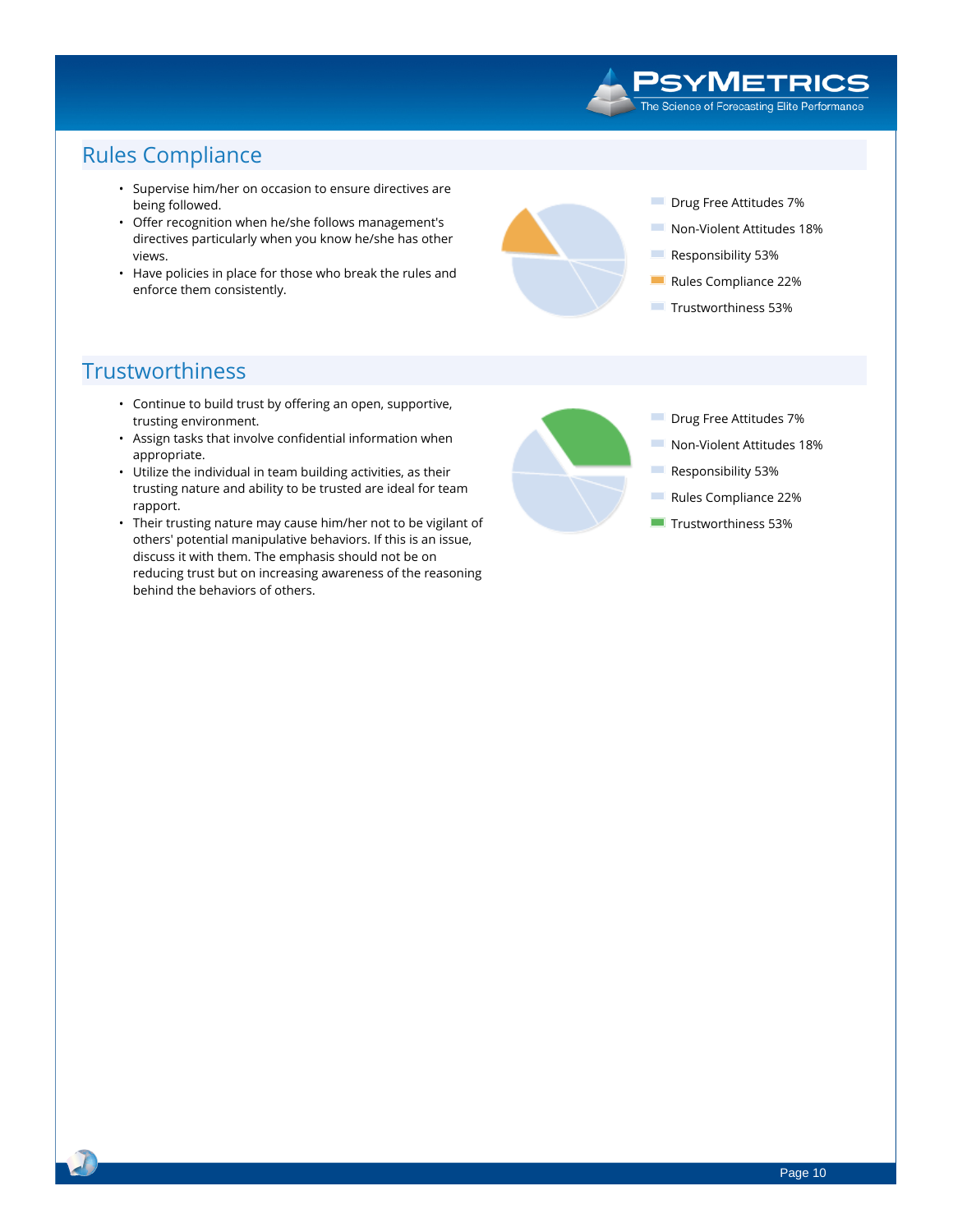#### **PSYMETRICS** The Science of Forecasting Elite Performance

### **Rules Compliance**

- **• Supervise him/her on occasion to ensure directives are being followed.**
- **• Offer recognition when he/she follows management's directives particularly when you know he/she has other views.**
- **• Have policies in place for those who break the rules and enforce them consistently.**



#### **Trustworthiness**

- **• Continue to build trust by offering an open, supportive, trusting environment.**
- **• Assign tasks that involve confidential information when appropriate.**
- **• Utilize the individual in team building activities, as their trusting nature and ability to be trusted are ideal for team rapport.**
- **• Their trusting nature may cause him/her not to be vigilant of others' potential manipulative behaviors. If this is an issue, discuss it with them. The emphasis should not be on reducing trust but on increasing awareness of the reasoning behind the behaviors of others.**

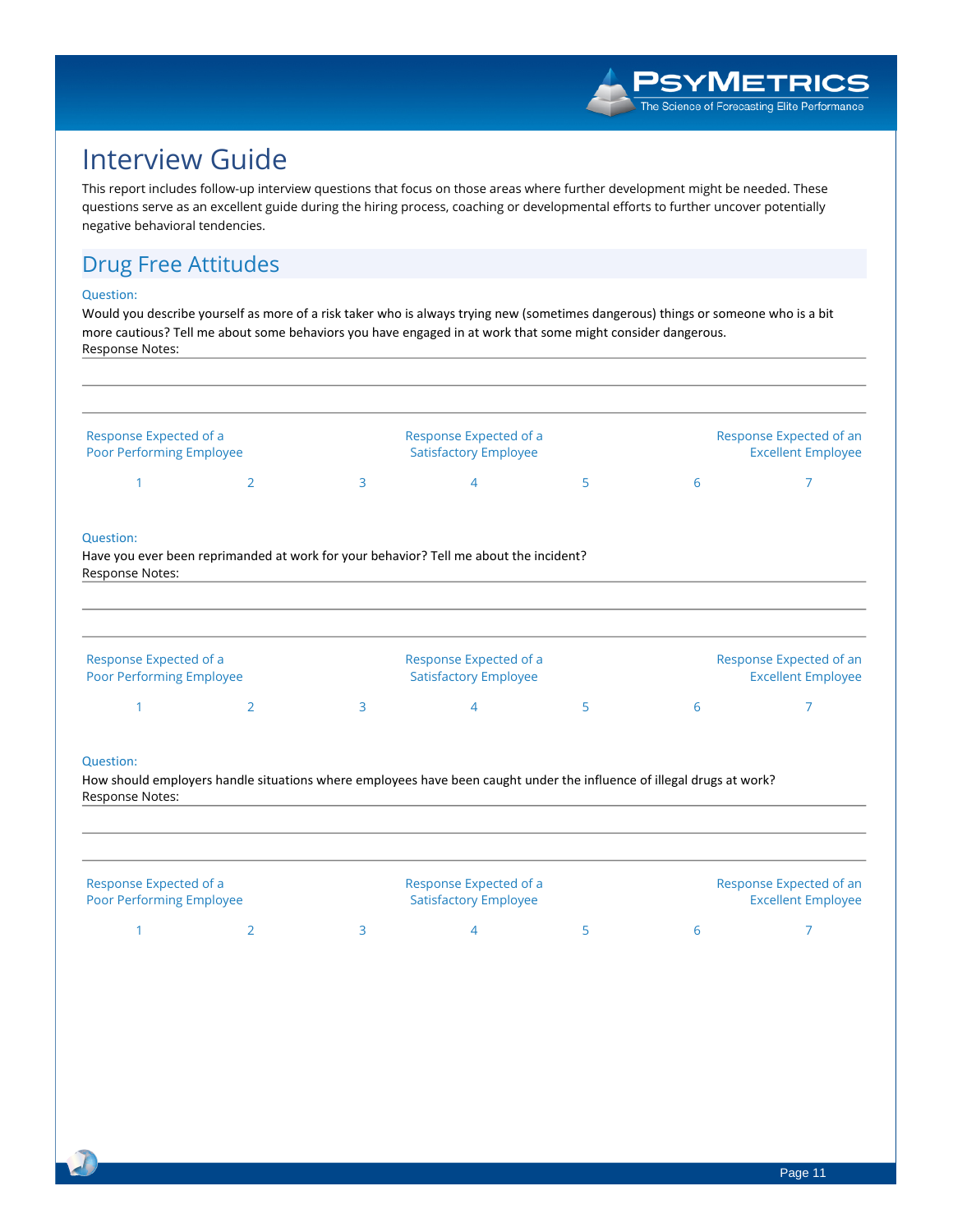

## **Interview Guide**

This report includes follow-up interview questions that focus on those areas where further development might be needed. These questions serve as an excellent guide during the hiring process, coaching or developmental efforts to further uncover potentially **negative behavioral tendencies.**

#### **Drug Free Attitudes**

#### **Question:**

Would you describe yourself as more of a risk taker who is always trying new (sometimes dangerous) things or someone who is a bit more cautious? Tell me about some behaviors you have engaged in at work that some might consider dangerous. **Response Notes:**

| Response Expected of a<br>Poor Performing Employee |   |   | Response Expected of a<br><b>Satisfactory Employee</b>                                                                |   |   | Response Expected of an<br><b>Excellent Employee</b> |  |
|----------------------------------------------------|---|---|-----------------------------------------------------------------------------------------------------------------------|---|---|------------------------------------------------------|--|
|                                                    | 2 | 3 | 4                                                                                                                     | 5 | 6 | 7                                                    |  |
| <b>Question:</b>                                   |   |   |                                                                                                                       |   |   |                                                      |  |
| Response Notes:                                    |   |   | Have you ever been reprimanded at work for your behavior? Tell me about the incident?                                 |   |   |                                                      |  |
|                                                    |   |   |                                                                                                                       |   |   |                                                      |  |
| Response Expected of a<br>Poor Performing Employee |   |   | Response Expected of a<br><b>Satisfactory Employee</b>                                                                |   |   | Response Expected of an<br><b>Excellent Employee</b> |  |
|                                                    | 2 | 3 | 4                                                                                                                     | 5 | 6 | 7                                                    |  |
| Question:                                          |   |   |                                                                                                                       |   |   |                                                      |  |
|                                                    |   |   | How should employers handle situations where employees have been caught under the influence of illegal drugs at work? |   |   |                                                      |  |
| Response Notes:                                    |   |   |                                                                                                                       |   |   |                                                      |  |

| Response Expected of a          |  |  | Response Expected of a       |  |                           | Response Expected of an |
|---------------------------------|--|--|------------------------------|--|---------------------------|-------------------------|
| <b>Poor Performing Employee</b> |  |  | <b>Satisfactory Employee</b> |  | <b>Excellent Employee</b> |                         |
|                                 |  |  |                              |  |                           |                         |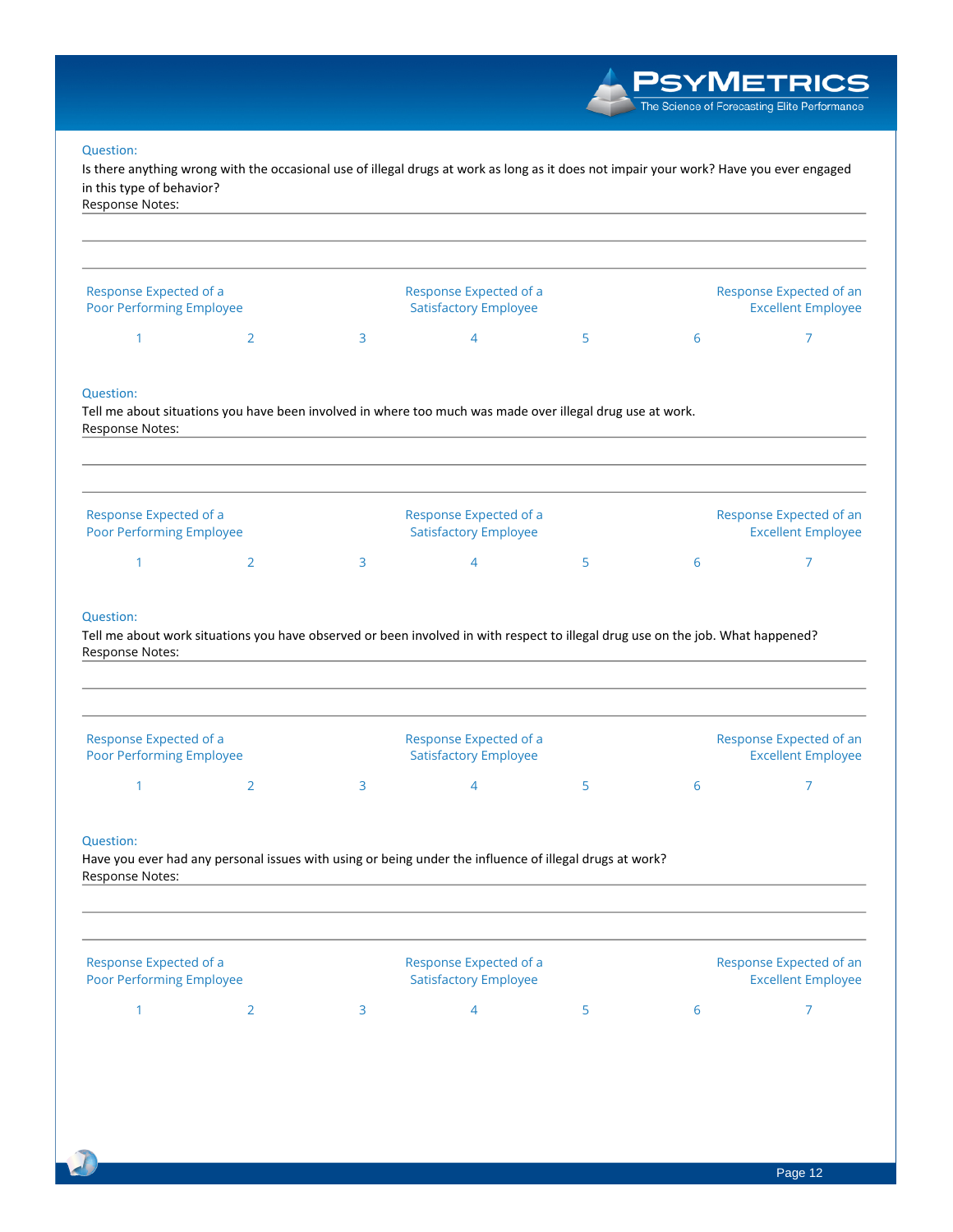/METRICS The Science of Forecasting Elite Performance **Question:** Is there anything wrong with the occasional use of illegal drugs at work as long as it does not impair your work? Have you ever engaged **in this type of behavior? Response Notes: Response Expected of a Response Expected of a Response Expected of an Poor Performing Employee Satisfactory Employee Excellent Employee 1 2 3 4 5 6 7 Question:** Tell me about situations you have been involved in where too much was made over illegal drug use at work. **Response Notes: Response Expected of a Response Expected of a Response Expected of an Poor Performing Employee Satisfactory Employee Excellent Employee 1 2 3 4 5 6 7 Question:** Tell me about work situations you have observed or been involved in with respect to illegal drug use on the job. What happened? **Response Notes: Response Expected of a Response Expected of a Response Expected of an Poor Performing Employee Satisfactory Employee Excellent Employee 1 2 3 4 5 6 7 Question:** Have you ever had any personal issues with using or being under the influence of illegal drugs at work? **Response Notes: Response Expected of a Response Expected of a Response Expected of an Poor Performing Employee Satisfactory Employee Excellent Employee**

**1 2 3 4 5 6 7**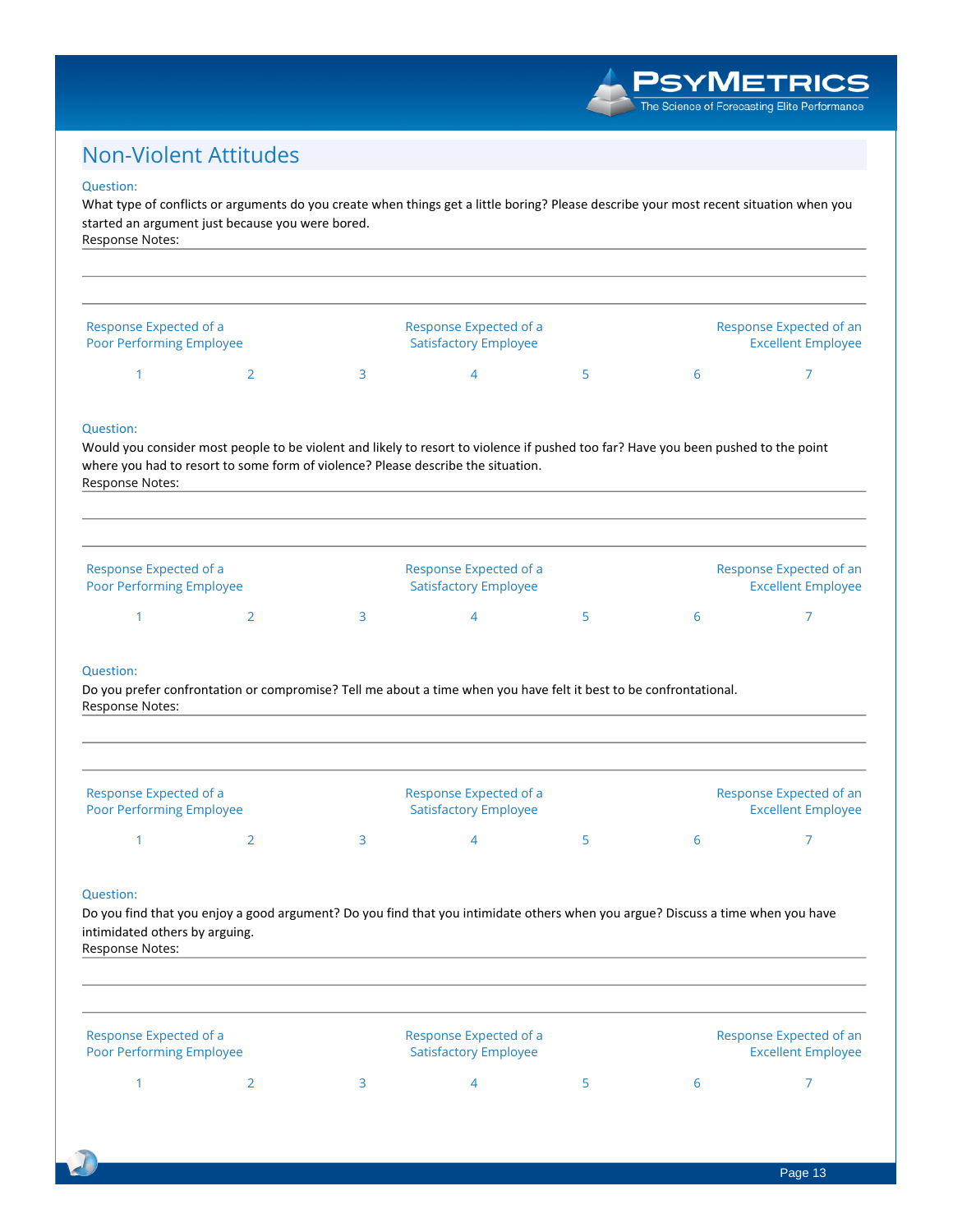#### PSYMETRICS The Science of Forecasting Elite Performance

#### **Non-Violent Attitudes**

#### **Question:**

What type of conflicts or arguments do you create when things get a little boring? Please describe your most recent situation when you **started an argument just because you were bored. Response Notes:**

| <b>Excellent Employee</b> |
|---------------------------|
|                           |

#### **Question:**

Would you consider most people to be violent and likely to resort to violence if pushed too far? Have you been pushed to the point **where you had to resort to some form of violence? Please describe the situation. Response Notes:**

| Response Expected of a<br><b>Poor Performing Employee</b> |  | Response Expected of a<br><b>Satisfactory Employee</b> |  | Response Expected of an<br><b>Excellent Employee</b> |
|-----------------------------------------------------------|--|--------------------------------------------------------|--|------------------------------------------------------|
|                                                           |  |                                                        |  |                                                      |

#### **Question:**

Do you prefer confrontation or compromise? Tell me about a time when you have felt it best to be confrontational. **Response Notes:**

| Response Expected of a<br><b>Poor Performing Employee</b> |  | Response Expected of a<br><b>Satisfactory Employee</b> |  | Response Expected of an<br><b>Excellent Employee</b> |
|-----------------------------------------------------------|--|--------------------------------------------------------|--|------------------------------------------------------|
|                                                           |  |                                                        |  |                                                      |

#### **Question:**

Do you find that you enjoy a good argument? Do you find that you intimidate others when you argue? Discuss a time when you have **intimidated others by arguing.**

| Response Notes:                                    |  |                                                        |  |                                                      |
|----------------------------------------------------|--|--------------------------------------------------------|--|------------------------------------------------------|
| Response Expected of a<br>Poor Performing Employee |  | Response Expected of a<br><b>Satisfactory Employee</b> |  | Response Expected of an<br><b>Excellent Employee</b> |
|                                                    |  |                                                        |  |                                                      |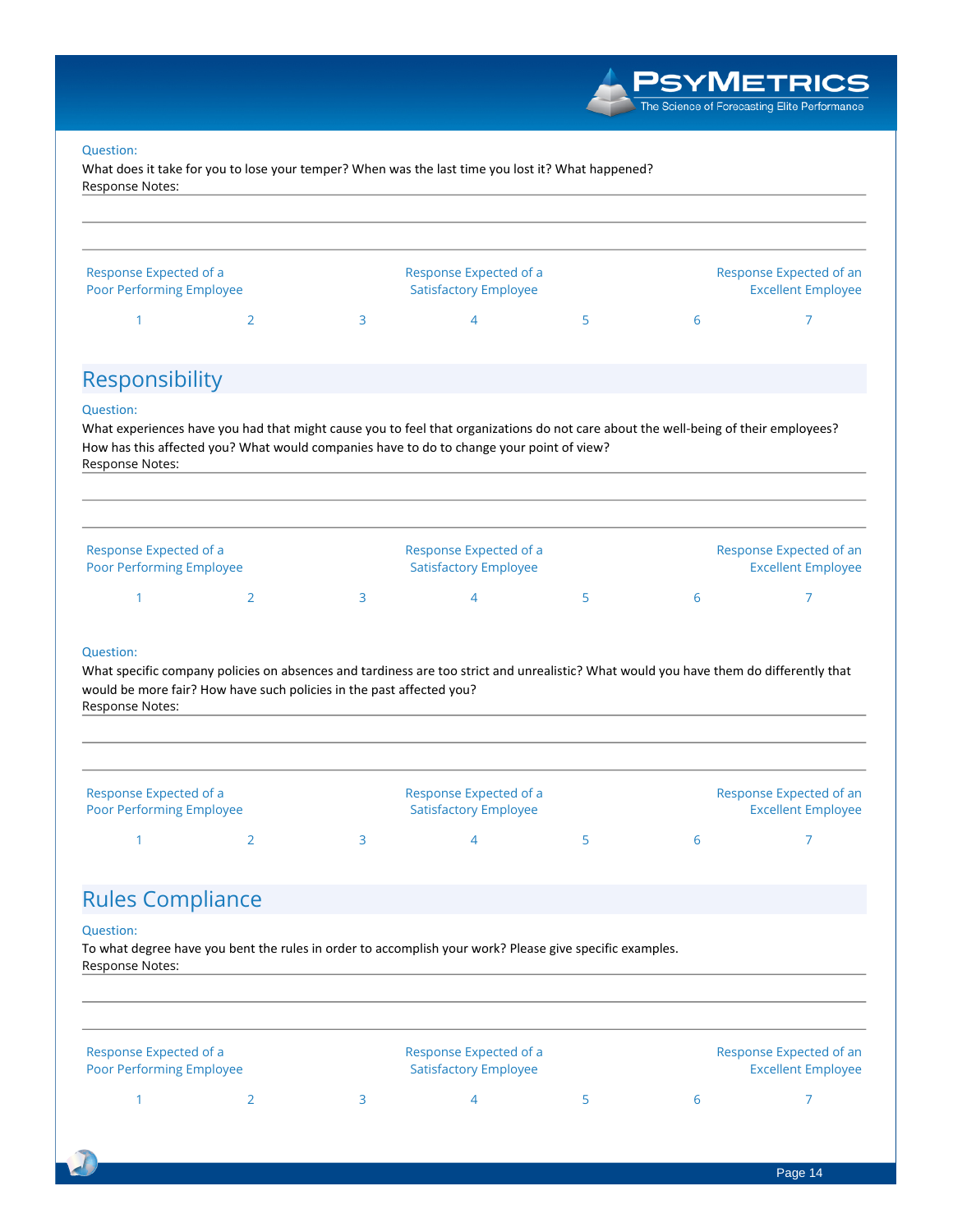

#### **Question:**

What does it take for you to lose your temper? When was the last time you lost it? What happened? **Response Notes:**



#### **Rules Compliance**

#### **Question:**

To what degree have you bent the rules in order to accomplish your work? Please give specific examples. **Response Notes:**

| Response Expected of a<br><b>Poor Performing Employee</b> |  | Response Expected of a<br><b>Satisfactory Employee</b> |  | Response Expected of an<br><b>Excellent Employee</b> |
|-----------------------------------------------------------|--|--------------------------------------------------------|--|------------------------------------------------------|
|                                                           |  |                                                        |  |                                                      |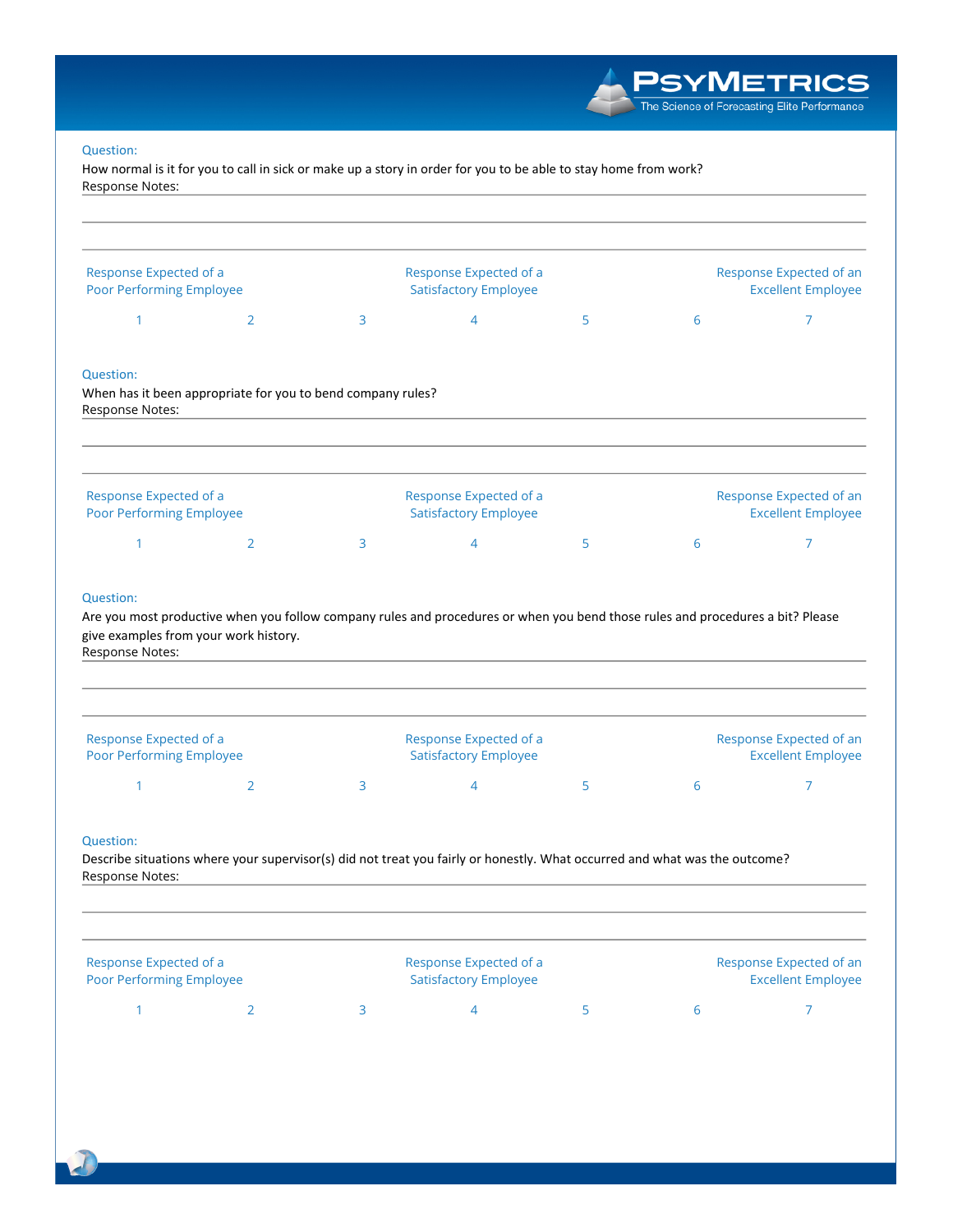**PSYMETRICS**<br>The Science of Forecasting Elite Performance

#### Question:

How normal is it for you to call in sick or make up a story in order for you to be able to stay home from work? Response Notes:

| Response Expected of a<br>Poor Performing Employee     |                                                             |   | Response Expected of a<br><b>Satisfactory Employee</b>                                                                         |   |   | Response Expected of an<br><b>Excellent Employee</b> |
|--------------------------------------------------------|-------------------------------------------------------------|---|--------------------------------------------------------------------------------------------------------------------------------|---|---|------------------------------------------------------|
| 1                                                      | $\overline{2}$                                              | 3 | $\overline{4}$                                                                                                                 | 5 | 6 | $\overline{7}$                                       |
| <b>Question:</b><br>Response Notes:                    | When has it been appropriate for you to bend company rules? |   |                                                                                                                                |   |   |                                                      |
| Response Expected of a<br>Poor Performing Employee     |                                                             |   | Response Expected of a<br><b>Satisfactory Employee</b>                                                                         |   |   | Response Expected of an<br><b>Excellent Employee</b> |
|                                                        | $\overline{2}$                                              | 3 | $\overline{4}$                                                                                                                 | 5 | 6 | $\overline{7}$                                       |
| 1                                                      | give examples from your work history.                       |   | Are you most productive when you follow company rules and procedures or when you bend those rules and procedures a bit? Please |   |   |                                                      |
| Question:<br>Response Notes:<br>Response Expected of a |                                                             |   | Response Expected of a                                                                                                         |   |   | Response Expected of an                              |
| Poor Performing Employee<br>1                          | $\overline{2}$                                              | 3 | <b>Satisfactory Employee</b><br>4                                                                                              | 5 | 6 | <b>Excellent Employee</b><br>7                       |
| Question:<br>Response Notes:                           |                                                             |   | Describe situations where your supervisor(s) did not treat you fairly or honestly. What occurred and what was the outcome?     |   |   |                                                      |
| Response Expected of a<br>Poor Performing Employee     |                                                             |   | Response Expected of a<br><b>Satisfactory Employee</b>                                                                         |   |   | Response Expected of an<br><b>Excellent Employee</b> |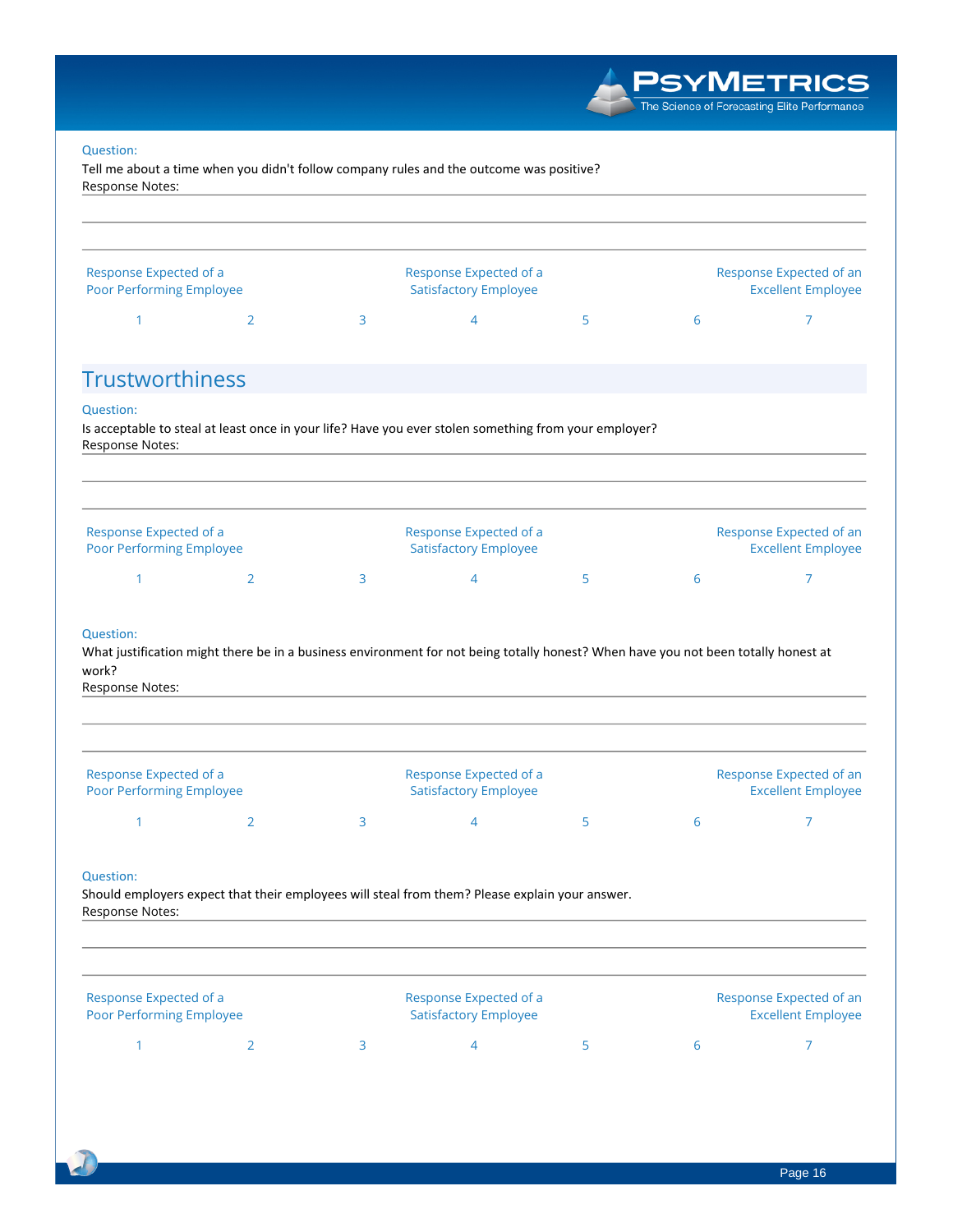|                                                    |                |   |                                                                                                                                    |   |   | <b>SYMETRICS</b><br>The Science of Forecasting Elite Performance |
|----------------------------------------------------|----------------|---|------------------------------------------------------------------------------------------------------------------------------------|---|---|------------------------------------------------------------------|
| Question:<br>Response Notes:                       |                |   | Tell me about a time when you didn't follow company rules and the outcome was positive?                                            |   |   |                                                                  |
| Response Expected of a<br>Poor Performing Employee |                |   | Response Expected of a<br><b>Satisfactory Employee</b>                                                                             |   |   | Response Expected of an<br><b>Excellent Employee</b>             |
| 1                                                  | 2              | 3 | 4                                                                                                                                  | 5 | 6 | 7                                                                |
| <b>Trustworthiness</b>                             |                |   |                                                                                                                                    |   |   |                                                                  |
| <b>Question:</b><br>Response Notes:                |                |   | Is acceptable to steal at least once in your life? Have you ever stolen something from your employer?                              |   |   |                                                                  |
| Response Expected of a<br>Poor Performing Employee |                |   | Response Expected of a<br><b>Satisfactory Employee</b>                                                                             |   |   | Response Expected of an<br><b>Excellent Employee</b>             |
| 1                                                  | $\overline{2}$ | 3 | $\overline{4}$                                                                                                                     | 5 | 6 | 7                                                                |
| Question:<br>work?<br>Response Notes:              |                |   | What justification might there be in a business environment for not being totally honest? When have you not been totally honest at |   |   |                                                                  |
| Response Expected of a<br>Poor Performing Employee |                |   | Response Expected of a<br><b>Satisfactory Employee</b>                                                                             |   |   | Response Expected of an<br><b>Excellent Employee</b>             |
| 1                                                  | $\overline{2}$ | 3 | $\overline{4}$                                                                                                                     | 5 | 6 | 7                                                                |
|                                                    |                |   |                                                                                                                                    |   |   |                                                                  |

| Response Expected of a<br>Poor Performing Employee |  | Response Expected of a<br><b>Satisfactory Employee</b> |        | Response Expected of an<br><b>Excellent Employee</b> |  |
|----------------------------------------------------|--|--------------------------------------------------------|--------|------------------------------------------------------|--|
|                                                    |  |                                                        | $\sim$ |                                                      |  |